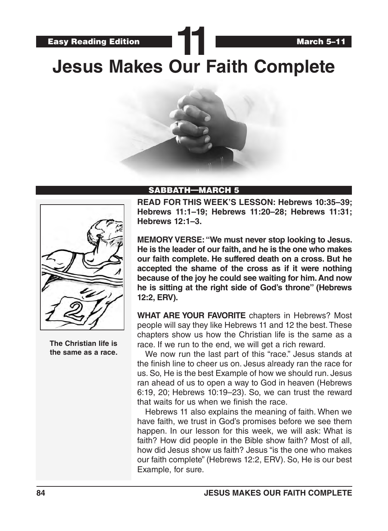**Jesus Makes Our Faith Complete**

**11**





**The Christian life is the same as a race.**

### SABBATH—MARCH 5

**READ FOR THIS WEEK'S LESSON: Hebrews 10:35–39; Hebrews 11:1–19; Hebrews 11:20–28; Hebrews 11:31; Hebrews 12:1–3.**

**MEMORY VERSE: "We must never stop looking to Jesus. He is the leader of our faith, and he is the one who makes our faith complete. He suffered death on a cross. But he accepted the shame of the cross as if it were nothing because of the joy he could see waiting for him. And now he is sitting at the right side of God's throne" (Hebrews 12:2, ERV).**

**WHAT ARE YOUR FAVORITE** chapters in Hebrews? Most people will say they like Hebrews 11 and 12 the best. These chapters show us how the Christian life is the same as a race. If we run to the end, we will get a rich reward.

We now run the last part of this "race." Jesus stands at the finish line to cheer us on. Jesus already ran the race for us. So, He is the best Example of how we should run. Jesus ran ahead of us to open a way to God in heaven (Hebrews 6:19, 20; Hebrews 10:19–23). So, we can trust the reward that waits for us when we finish the race.

Hebrews 11 also explains the meaning of faith. When we have faith, we trust in God's promises before we see them happen. In our lesson for this week, we will ask: What is faith? How did people in the Bible show faith? Most of all, how did Jesus show us faith? Jesus "is the one who makes our faith complete" (Hebrews 12:2, ERV). So, He is our best Example, for sure.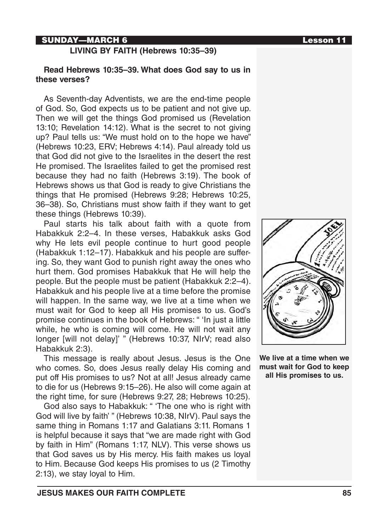## SUNDAY—MARCH 6 **Lesson 11**

#### **LIVING BY FAITH (Hebrews 10:35–39)**

### **Read Hebrews 10:35–39. What does God say to us in these verses?**

As Seventh-day Adventists, we are the end-time people of God. So, God expects us to be patient and not give up. Then we will get the things God promised us (Revelation 13:10; Revelation 14:12). What is the secret to not giving up? Paul tells us: "We must hold on to the hope we have" (Hebrews 10:23, ERV; Hebrews 4:14). Paul already told us that God did not give to the Israelites in the desert the rest He promised. The Israelites failed to get the promised rest because they had no faith (Hebrews 3:19). The book of Hebrews shows us that God is ready to give Christians the things that He promised (Hebrews 9:28; Hebrews 10:25, 36–38). So, Christians must show faith if they want to get these things (Hebrews 10:39).

Paul starts his talk about faith with a quote from Habakkuk 2:2–4. In these verses, Habakkuk asks God why He lets evil people continue to hurt good people (Habakkuk 1:12–17). Habakkuk and his people are suffering. So, they want God to punish right away the ones who hurt them. God promises Habakkuk that He will help the people. But the people must be patient (Habakkuk 2:2–4). Habakkuk and his people live at a time before the promise will happen. In the same way, we live at a time when we must wait for God to keep all His promises to us. God's promise continues in the book of Hebrews: " 'In just a little while, he who is coming will come. He will not wait any longer [will not delay]' " (Hebrews 10:37, NIrV; read also Habakkuk 2:3).

This message is really about Jesus. Jesus is the One who comes. So, does Jesus really delay His coming and put off His promises to us? Not at all! Jesus already came to die for us (Hebrews 9:15–26). He also will come again at the right time, for sure (Hebrews 9:27, 28; Hebrews 10:25).

God also says to Habakkuk: " 'The one who is right with God will live by faith' " (Hebrews 10:38, NIrV). Paul says the same thing in Romans 1:17 and Galatians 3:11. Romans 1 is helpful because it says that "we are made right with God by faith in Him" (Romans 1:17, NLV). This verse shows us that God saves us by His mercy. His faith makes us loyal to Him. Because God keeps His promises to us (2 Timothy 2:13), we stay loyal to Him.



**We live at a time when we must wait for God to keep all His promises to us.**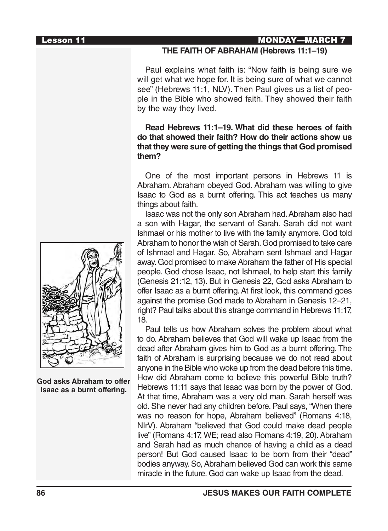#### Lesson 11 MONDAY—MARCH 7

#### **THE FAITH OF ABRAHAM (Hebrews 11:1–19)**

Paul explains what faith is: "Now faith is being sure we will get what we hope for. It is being sure of what we cannot see" (Hebrews 11:1, NLV). Then Paul gives us a list of people in the Bible who showed faith. They showed their faith by the way they lived.

## **Read Hebrews 11:1–19. What did these heroes of faith do that showed their faith? How do their actions show us that they were sure of getting the things that God promised them?**

One of the most important persons in Hebrews 11 is Abraham. Abraham obeyed God. Abraham was willing to give Isaac to God as a burnt offering. This act teaches us many things about faith.

Isaac was not the only son Abraham had. Abraham also had a son with Hagar, the servant of Sarah. Sarah did not want Ishmael or his mother to live with the family anymore. God told Abraham to honor the wish of Sarah. God promised to take care of Ishmael and Hagar. So, Abraham sent Ishmael and Hagar away. God promised to make Abraham the father of His special people. God chose Isaac, not Ishmael, to help start this family (Genesis 21:12, 13). But in Genesis 22, God asks Abraham to offer Isaac as a burnt offering. At first look, this command goes against the promise God made to Abraham in Genesis 12–21, right? Paul talks about this strange command in Hebrews 11:17, 18.

Paul tells us how Abraham solves the problem about what to do. Abraham believes that God will wake up Isaac from the dead after Abraham gives him to God as a burnt offering. The faith of Abraham is surprising because we do not read about anyone in the Bible who woke up from the dead before this time. How did Abraham come to believe this powerful Bible truth? Hebrews 11:11 says that Isaac was born by the power of God. At that time, Abraham was a very old man. Sarah herself was old. She never had any children before. Paul says, "When there was no reason for hope, Abraham believed" (Romans 4:18, NIrV). Abraham "believed that God could make dead people live" (Romans 4:17, WE; read also Romans 4:19, 20). Abraham and Sarah had as much chance of having a child as a dead person! But God caused Isaac to be born from their "dead" bodies anyway. So, Abraham believed God can work this same miracle in the future. God can wake up Isaac from the dead.



**God asks Abraham to offer Isaac as a burnt offering.**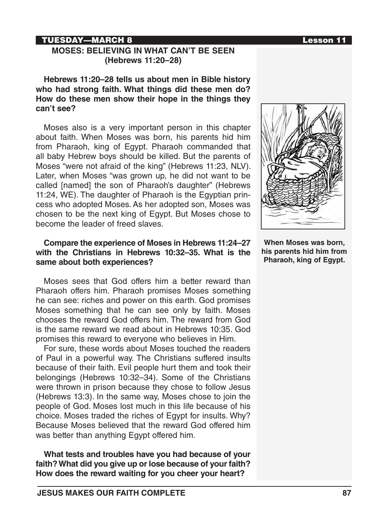## TUESDAY—MARCH 8 Lesson 11

### **MOSES: BELIEVING IN WHAT CAN'T BE SEEN (Hebrews 11:20–28)**

**Hebrews 11:20–28 tells us about men in Bible history who had strong faith. What things did these men do? How do these men show their hope in the things they can't see?**

Moses also is a very important person in this chapter about faith. When Moses was born, his parents hid him from Pharaoh, king of Egypt. Pharaoh commanded that all baby Hebrew boys should be killed. But the parents of Moses "were not afraid of the king" (Hebrews 11:23, NLV). Later, when Moses "was grown up, he did not want to be called [named] the son of Pharaoh's daughter" (Hebrews 11:24, WE). The daughter of Pharaoh is the Egyptian princess who adopted Moses. As her adopted son, Moses was chosen to be the next king of Egypt. But Moses chose to become the leader of freed slaves.

## **Compare the experience of Moses in Hebrews 11:24–27 with the Christians in Hebrews 10:32–35. What is the same about both experiences?**

Moses sees that God offers him a better reward than Pharaoh offers him. Pharaoh promises Moses something he can see: riches and power on this earth. God promises Moses something that he can see only by faith. Moses chooses the reward God offers him. The reward from God is the same reward we read about in Hebrews 10:35. God promises this reward to everyone who believes in Him.

For sure, these words about Moses touched the readers of Paul in a powerful way. The Christians suffered insults because of their faith. Evil people hurt them and took their belongings (Hebrews 10:32–34). Some of the Christians were thrown in prison because they chose to follow Jesus (Hebrews 13:3). In the same way, Moses chose to join the people of God. Moses lost much in this life because of his choice. Moses traded the riches of Egypt for insults. Why? Because Moses believed that the reward God offered him was better than anything Egypt offered him.

**What tests and troubles have you had because of your faith? What did you give up or lose because of your faith? How does the reward waiting for you cheer your heart?**



**When Moses was born, his parents hid him from Pharaoh, king of Egypt.**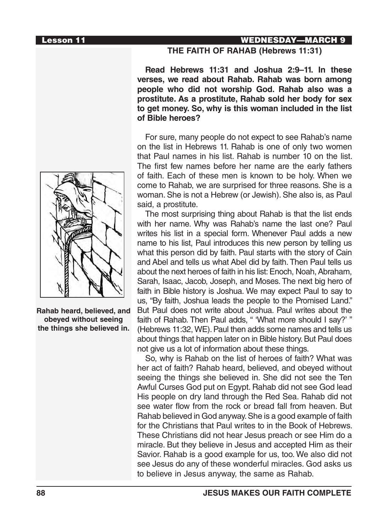## Lesson 11 WEDNESDAY—MARCH 9

**THE FAITH OF RAHAB (Hebrews 11:31)**

**Read Hebrews 11:31 and Joshua 2:9–11. In these verses, we read about Rahab. Rahab was born among people who did not worship God. Rahab also was a prostitute. As a prostitute, Rahab sold her body for sex to get money. So, why is this woman included in the list of Bible heroes?**

For sure, many people do not expect to see Rahab's name on the list in Hebrews 11. Rahab is one of only two women that Paul names in his list. Rahab is number 10 on the list. The first few names before her name are the early fathers of faith. Each of these men is known to be holy. When we come to Rahab, we are surprised for three reasons. She is a woman. She is not a Hebrew (or Jewish). She also is, as Paul said, a prostitute.

The most surprising thing about Rahab is that the list ends with her name. Why was Rahab's name the last one? Paul writes his list in a special form. Whenever Paul adds a new name to his list, Paul introduces this new person by telling us what this person did by faith. Paul starts with the story of Cain and Abel and tells us what Abel did by faith. Then Paul tells us about the next heroes of faith in his list: Enoch, Noah, Abraham, Sarah, Isaac, Jacob, Joseph, and Moses. The next big hero of faith in Bible history is Joshua. We may expect Paul to say to us, "By faith, Joshua leads the people to the Promised Land." But Paul does not write about Joshua. Paul writes about the faith of Rahab. Then Paul adds, " 'What more should I say?' " (Hebrews 11:32, WE). Paul then adds some names and tells us about things that happen later on in Bible history. But Paul does not give us a lot of information about these things.

So, why is Rahab on the list of heroes of faith? What was her act of faith? Rahab heard, believed, and obeyed without seeing the things she believed in. She did not see the Ten Awful Curses God put on Egypt. Rahab did not see God lead His people on dry land through the Red Sea. Rahab did not see water flow from the rock or bread fall from heaven. But Rahab believed in God anyway. She is a good example of faith for the Christians that Paul writes to in the Book of Hebrews. These Christians did not hear Jesus preach or see Him do a miracle. But they believe in Jesus and accepted Him as their Savior. Rahab is a good example for us, too. We also did not see Jesus do any of these wonderful miracles. God asks us to believe in Jesus anyway, the same as Rahab.



**Rahab heard, believed, and obeyed without seeing the things she believed in.**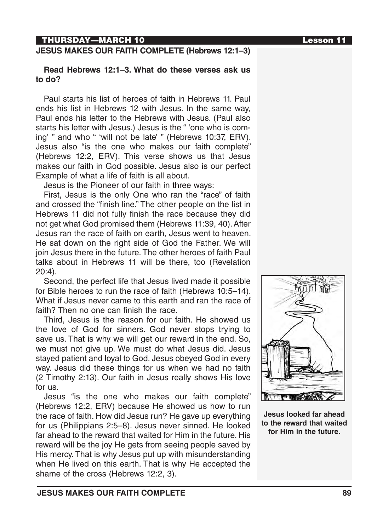## THURSDAY—MARCH 10 Lesson 11

## **JESUS MAKES OUR FAITH COMPLETE (Hebrews 12:1–3)**

#### **Read Hebrews 12:1–3. What do these verses ask us to do?**

Paul starts his list of heroes of faith in Hebrews 11. Paul ends his list in Hebrews 12 with Jesus. In the same way, Paul ends his letter to the Hebrews with Jesus. (Paul also starts his letter with Jesus.) Jesus is the " 'one who is coming' " and who " 'will not be late' " (Hebrews 10:37, ERV). Jesus also "is the one who makes our faith complete" (Hebrews 12:2, ERV). This verse shows us that Jesus makes our faith in God possible. Jesus also is our perfect Example of what a life of faith is all about.

Jesus is the Pioneer of our faith in three ways:

First, Jesus is the only One who ran the "race" of faith and crossed the "finish line." The other people on the list in Hebrews 11 did not fully finish the race because they did not get what God promised them (Hebrews 11:39, 40). After Jesus ran the race of faith on earth, Jesus went to heaven. He sat down on the right side of God the Father. We will join Jesus there in the future. The other heroes of faith Paul talks about in Hebrews 11 will be there, too (Revelation 20:4).

Second, the perfect life that Jesus lived made it possible for Bible heroes to run the race of faith (Hebrews 10:5–14). What if Jesus never came to this earth and ran the race of faith? Then no one can finish the race.

Third, Jesus is the reason for our faith. He showed us the love of God for sinners. God never stops trying to save us. That is why we will get our reward in the end. So, we must not give up. We must do what Jesus did. Jesus stayed patient and loyal to God. Jesus obeyed God in every way. Jesus did these things for us when we had no faith (2 Timothy 2:13). Our faith in Jesus really shows His love for us.

Jesus "is the one who makes our faith complete" (Hebrews 12:2, ERV) because He showed us how to run the race of faith. How did Jesus run? He gave up everything for us (Philippians 2:5–8). Jesus never sinned. He looked far ahead to the reward that waited for Him in the future. His reward will be the joy He gets from seeing people saved by His mercy. That is why Jesus put up with misunderstanding when He lived on this earth. That is why He accepted the shame of the cross (Hebrews 12:2, 3).





**Jesus looked far ahead to the reward that waited for Him in the future.**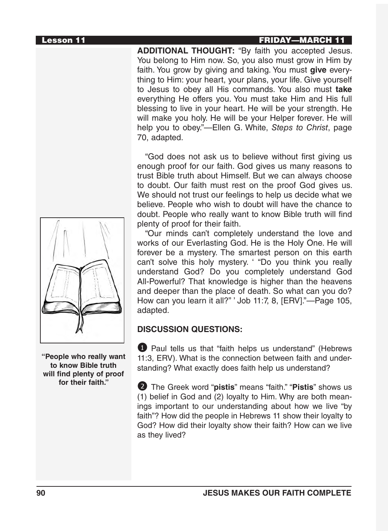## Lesson 11 FRIDAY—MARCH 11

**ADDITIONAL THOUGHT:** "By faith you accepted Jesus. You belong to Him now. So, you also must grow in Him by faith. You grow by giving and taking. You must **give** everything to Him: your heart, your plans, your life. Give yourself to Jesus to obey all His commands. You also must **take** everything He offers you. You must take Him and His full blessing to live in your heart. He will be your strength. He will make you holy. He will be your Helper forever. He will help you to obey."—Ellen G. White, *Steps to Christ*, page 70, adapted.

"God does not ask us to believe without first giving us enough proof for our faith. God gives us many reasons to trust Bible truth about Himself. But we can always choose to doubt. Our faith must rest on the proof God gives us. We should not trust our feelings to help us decide what we believe. People who wish to doubt will have the chance to doubt. People who really want to know Bible truth will find plenty of proof for their faith.

"Our minds can't completely understand the love and works of our Everlasting God. He is the Holy One. He will forever be a mystery. The smartest person on this earth can't solve this holy mystery. ' "Do you think you really understand God? Do you completely understand God All-Powerful? That knowledge is higher than the heavens and deeper than the place of death. So what can you do? How can you learn it all?" ' Job 11:7, 8, [ERV]."—Page 105, adapted.

# **DISCUSSION QUESTIONS:**

**1** Paul tells us that "faith helps us understand" (Hebrews 11:3, ERV). What is the connection between faith and understanding? What exactly does faith help us understand?

2 The Greek word "**pistis**" means "faith." "**Pistis**" shows us (1) belief in God and (2) loyalty to Him. Why are both meanings important to our understanding about how we live "by faith"? How did the people in Hebrews 11 show their loyalty to God? How did their loyalty show their faith? How can we live as they lived?



**"People who really want to know Bible truth will find plenty of proof for their faith."**